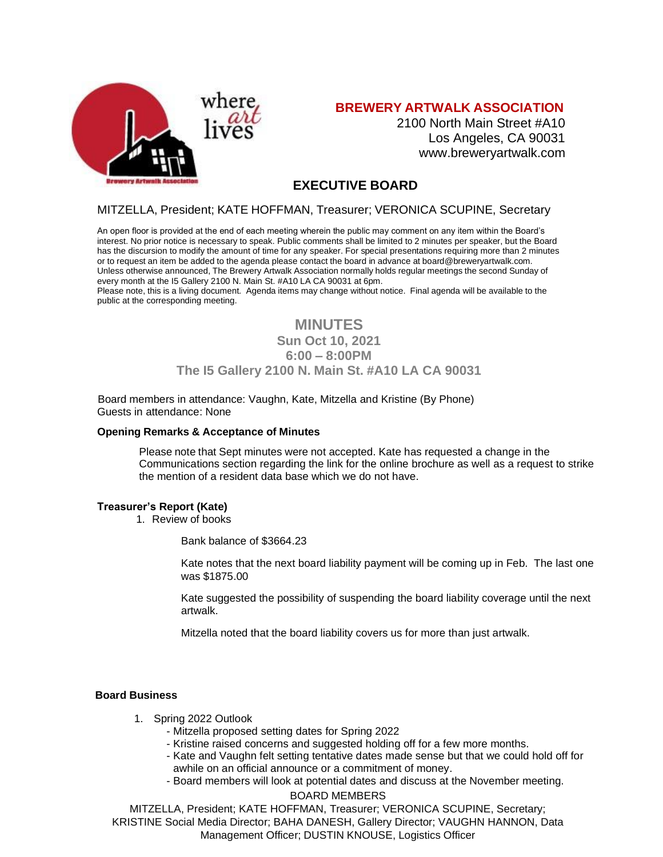

## **BREWERY ARTWALK ASSOCIATION**

2100 North Main Street #A10 Los Angeles, CA 90031 [www.breweryartwalk.com](http://www.breweryartwalk.com/)

## **EXECUTIVE BOARD**

## MITZELLA, President; KATE HOFFMAN, Treasurer; VERONICA SCUPINE, Secretary

An open floor is provided at the end of each meeting wherein the public may comment on any item within the Board's interest. No prior notice is necessary to speak. Public comments shall be limited to 2 minutes per speaker, but the Board has the discursion to modify the amount of time for any speaker. For special presentations requiring more than 2 minutes or to request an item be added to the agenda please contact the board in advance at [board@breweryartwalk.com.](mailto:board@breweryartwalk.com) Unless otherwise announced, The Brewery Artwalk Association normally holds regular meetings the second Sunday of every month at the I5 Gallery 2100 N. Main St. #A10 LA CA 90031 at 6pm.

Please note, this is a living document. Agenda items may change without notice. Final agenda will be available to the public at the corresponding meeting.

# **MINUTES Sun Oct 10, 2021 6:00 – 8:00PM The I5 Gallery 2100 N. Main St. #A10 LA CA 90031**

Board members in attendance: Vaughn, Kate, Mitzella and Kristine (By Phone) Guests in attendance: None

#### **Opening Remarks & Acceptance of Minutes**

Please note that Sept minutes were not accepted. Kate has requested a change in the Communications section regarding the link for the online brochure as well as a request to strike the mention of a resident data base which we do not have.

#### **Treasurer's Report (Kate)**

1. Review of books

Bank balance of \$3664.23

Kate notes that the next board liability payment will be coming up in Feb. The last one was \$1875.00

Kate suggested the possibility of suspending the board liability coverage until the next artwalk.

Mitzella noted that the board liability covers us for more than just artwalk.

#### **Board Business**

- 1. Spring 2022 Outlook
	- Mitzella proposed setting dates for Spring 2022
	- Kristine raised concerns and suggested holding off for a few more months.
	- Kate and Vaughn felt setting tentative dates made sense but that we could hold off for awhile on an official announce or a commitment of money.
	- BOARD MEMBERS - Board members will look at potential dates and discuss at the November meeting.

MITZELLA, President; KATE HOFFMAN, Treasurer; VERONICA SCUPINE, Secretary; KRISTINE Social Media Director; BAHA DANESH, Gallery Director; VAUGHN HANNON, Data Management Officer; DUSTIN KNOUSE, Logistics Officer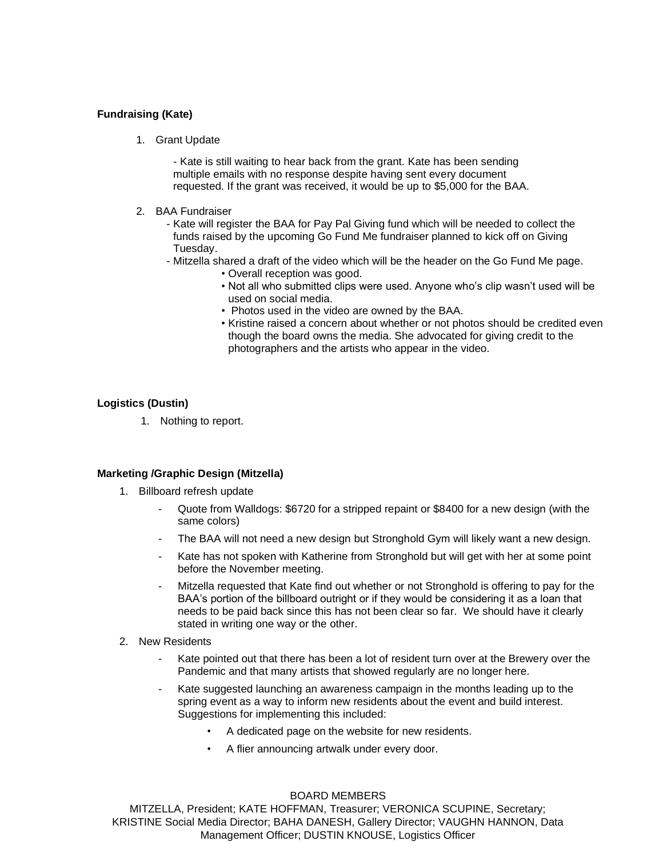### **Fundraising (Kate)**

1. Grant Update

- Kate is still waiting to hear back from the grant. Kate has been sending multiple emails with no response despite having sent every document requested. If the grant was received, it would be up to \$5,000 for the BAA.

- 2. BAA Fundraiser
	- Kate will register the BAA for Pay Pal Giving fund which will be needed to collect the funds raised by the upcoming Go Fund Me fundraiser planned to kick off on Giving Tuesday.
	- Mitzella shared a draft of the video which will be the header on the Go Fund Me page.
		- Overall reception was good.
		- Not all who submitted clips were used. Anyone who's clip wasn't used will be used on social media.
		- Photos used in the video are owned by the BAA.
		- Kristine raised a concern about whether or not photos should be credited even though the board owns the media. She advocated for giving credit to the photographers and the artists who appear in the video.

## **Logistics (Dustin)**

1. Nothing to report.

## **Marketing /Graphic Design (Mitzella)**

- 1. Billboard refresh update
	- Quote from Walldogs: \$6720 for a stripped repaint or \$8400 for a new design (with the same colors)
	- The BAA will not need a new design but Stronghold Gym will likely want a new design.
	- Kate has not spoken with Katherine from Stronghold but will get with her at some point before the November meeting.
	- Mitzella requested that Kate find out whether or not Stronghold is offering to pay for the BAA's portion of the billboard outright or if they would be considering it as a loan that needs to be paid back since this has not been clear so far. We should have it clearly stated in writing one way or the other.
- 2. New Residents
	- Kate pointed out that there has been a lot of resident turn over at the Brewery over the Pandemic and that many artists that showed regularly are no longer here.
	- Kate suggested launching an awareness campaign in the months leading up to the spring event as a way to inform new residents about the event and build interest. Suggestions for implementing this included:
		- A dedicated page on the website for new residents.
		- A flier announcing artwalk under every door.

#### BOARD MEMBERS

MITZELLA, President; KATE HOFFMAN, Treasurer; VERONICA SCUPINE, Secretary; KRISTINE Social Media Director; BAHA DANESH, Gallery Director; VAUGHN HANNON, Data Management Officer; DUSTIN KNOUSE, Logistics Officer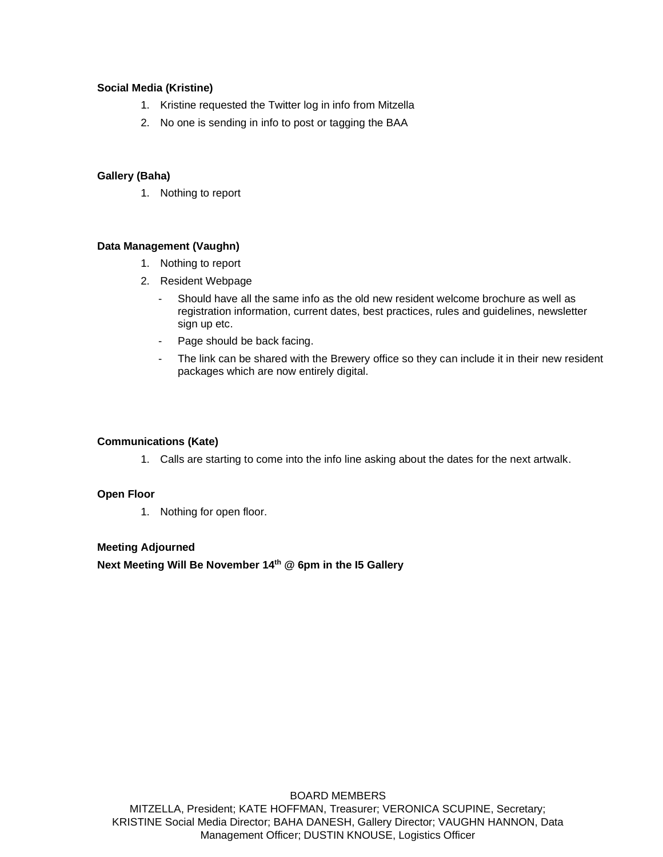#### **Social Media (Kristine)**

- 1. Kristine requested the Twitter log in info from Mitzella
- 2. No one is sending in info to post or tagging the BAA

### **Gallery (Baha)**

1. Nothing to report

#### **Data Management (Vaughn)**

- 1. Nothing to report
- 2. Resident Webpage
	- Should have all the same info as the old new resident welcome brochure as well as registration information, current dates, best practices, rules and guidelines, newsletter sign up etc.
	- Page should be back facing.
	- The link can be shared with the Brewery office so they can include it in their new resident packages which are now entirely digital.

## **Communications (Kate)**

1. Calls are starting to come into the info line asking about the dates for the next artwalk.

#### **Open Floor**

1. Nothing for open floor.

### **Meeting Adjourned**

**Next Meeting Will Be November 14th @ 6pm in the I5 Gallery**